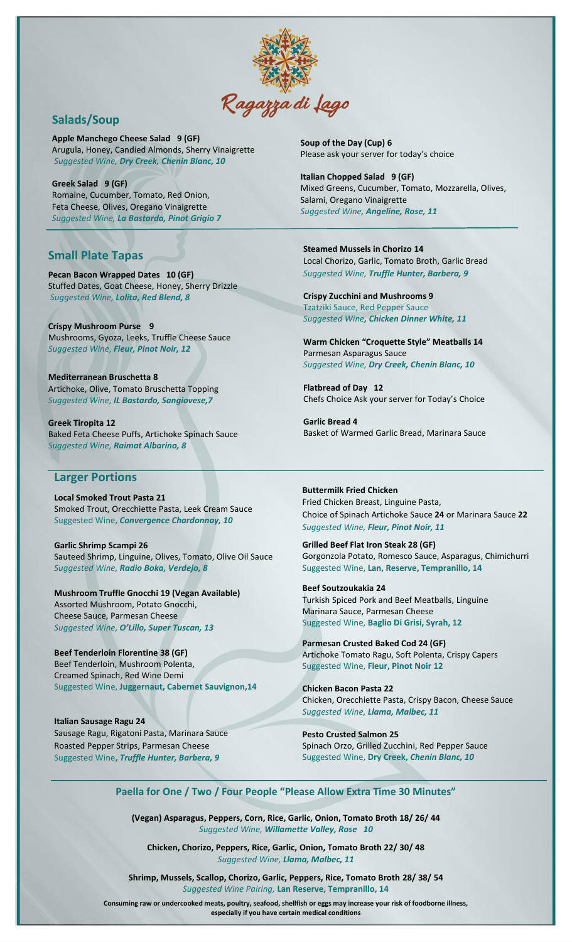

## **Salads/Soup**

**Apple Manchego Cheese Salad 9 (GF)** Arugula, Honey, Candied Almonds, Sherry Vinaigrette *Suggested Wine, Dry Creek, Chenin Blanc, 10*

**Greek Salad 9 (GF)** Romaine, Cucumber, Tomato, Red Onion, Feta Cheese, Olives, Oregano Vinaigrette *Suggested Wine, La Bastarda, Pinot Grigio 7*

## **Small Plate Tapas**

**Pecan Bacon Wrapped Dates 10 (GF)** Stuffed Dates, Goat Cheese, Honey, Sherry Drizzle *Suggested Wine, Lolita, Red Blend, 8*

**Crispy Mushroom Purse 9** Mushrooms, Gyoza, Leeks, Truffle Cheese Sauce *Suggested Wine, Fleur, Pinot Noir, 12*

**Mediterranean Bruschetta 8** Artichoke, Olive, Tomato Bruschetta Topping *Suggested Wine, IL Bastardo, Sangiovese,7*

**Greek Tiropita 12** Baked Feta Cheese Puffs, Artichoke Spinach Sauce *Suggested Wine, Raimat Albarino, 8*

## **Larger Portions**

**Local Smoked Trout Pasta 21** Smoked Trout, Orecchiette Pasta, Leek Cream Sauce Suggested Wine, *Convergence Chardonnay, 10*

**Garlic Shrimp Scampi 26** Sauteed Shrimp, Linguine, Olives, Tomato, Olive Oil Sauce *Suggested Wine, Radio Boka, Verdejo, 8*

**Mushroom Truffle Gnocchi 19 (Vegan Available)** Assorted Mushroom, Potato Gnocchi, Cheese Sauce, Parmesan Cheese *Suggested Wine, O'Lillo, Super Tuscan, 13*

**Beef Tenderloin Florentine 38 (GF)** Beef Tenderloin, Mushroom Polenta, Creamed Spinach, Red Wine Demi Suggested Wine, **Juggernaut, Cabernet Sauvignon,14**

**Italian Sausage Ragu 24** Sausage Ragu, Rigatoni Pasta, Marinara Sauce Roasted Pepper Strips, Parmesan Cheese Suggested Wine**,** *Truffle Hunter, Barbera, 9*

**Soup of the Day (Cup) 6** Please ask your server for today's choice

**Italian Chopped Salad 9 (GF)** Mixed Greens, Cucumber, Tomato, Mozzarella, Olives, Salami, Oregano Vinaigrette *Suggested Wine, Angeline, Rose, 11*

**Steamed Mussels in Chorizo 14** Local Chorizo, Garlic, Tomato Broth, Garlic Bread *Suggested Wine, Truffle Hunter, Barbera, 9*

**Crispy Zucchini and Mushrooms 9** Tzatziki Sauce, Red Pepper Sauce *Suggested Wine, Chicken Dinner White, 11*

**Warm Chicken "Croquette Style" Meatballs 14** Parmesan Asparagus Sauce *Suggested Wine, Dry Creek, Chenin Blanc, 10*

**Flatbread of Day 12** Chefs Choice Ask your server for Today's Choice

**Garlic Bread 4** Basket of Warmed Garlic Bread, Marinara Sauce

**Buttermilk Fried Chicken** Fried Chicken Breast, Linguine Pasta, Choice of Spinach Artichoke Sauce **24** or Marinara Sauce **22** *Suggested Wine, Fleur, Pinot Noir, 11*

**Grilled Beef Flat Iron Steak 28 (GF)** Gorgonzola Potato, Romesco Sauce, Asparagus, Chimichurri Suggested Wine, **Lan, Reserve, Tempranillo, 14**

**Beef Soutzoukakia 24** Turkish Spiced Pork and Beef Meatballs, Linguine Marinara Sauce, Parmesan Cheese Suggested Wine, **Baglio Di Grisi, Syrah, 12**

**Parmesan Crusted Baked Cod 24 (GF)** Artichoke Tomato Ragu, Soft Polenta, Crispy Capers Suggested Wine, **Fleur, Pinot Noir 12**

**Chicken Bacon Pasta 22** Chicken, Orecchiette Pasta, Crispy Bacon, Cheese Sauce *Suggested Wine, Llama, Malbec, 11*

**Pesto Crusted Salmon 25** Spinach Orzo, Grilled Zucchini, Red Pepper Sauce Suggested Wine, **Dry Creek,** *Chenin Blanc, 10*

**Paella for One / Two / Four People "Please Allow Extra Time 30 Minutes"**

**(Vegan) Asparagus, Peppers, Corn, Rice, Garlic, Onion, Tomato Broth 18/ 26/ 44** *Suggested Wine, Willamette Valley, Rose 10*

**Chicken, Chorizo, Peppers, Rice, Garlic, Onion, Tomato Broth 22/ 30/ 48** *Suggested Wine, Llama, Malbec, 11*

**Shrimp, Mussels, Scallop, Chorizo, Garlic, Peppers, Rice, Tomato Broth 28/ 38/ 54** *Suggested Wine Pairing,* **Lan Reserve, Tempranillo, 14**

**Consuming raw or undercooked meats, poultry, seafood, shellfish or eggs may increase your risk of foodborne illness, especially if you have certain medical conditions**